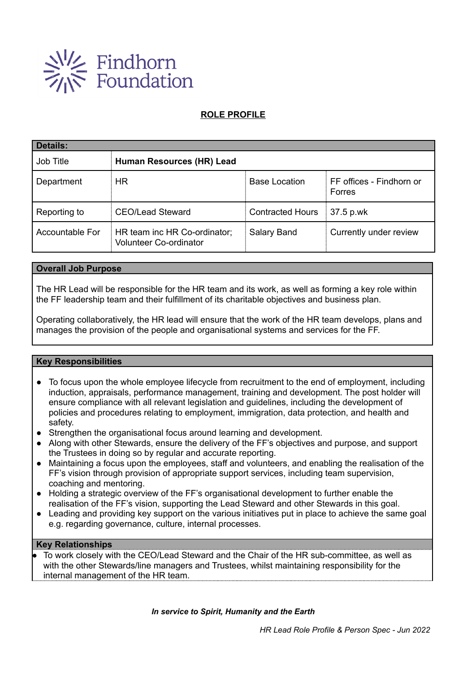

## **ROLE PROFILE**

| <b>Details:</b>        |                                                               |                         |                                    |  |  |  |
|------------------------|---------------------------------------------------------------|-------------------------|------------------------------------|--|--|--|
| Job Title              | Human Resources (HR) Lead                                     |                         |                                    |  |  |  |
| Department             | <b>HR</b>                                                     | <b>Base Location</b>    | FF offices - Findhorn or<br>Forres |  |  |  |
| Reporting to           | <b>CEO/Lead Steward</b>                                       | <b>Contracted Hours</b> | 37.5 p.wk                          |  |  |  |
| <b>Accountable For</b> | HR team inc HR Co-ordinator;<br><b>Volunteer Co-ordinator</b> | Salary Band             | Currently under review             |  |  |  |

### **Overall Job Purpose**

The HR Lead will be responsible for the HR team and its work, as well as forming a key role within the FF leadership team and their fulfillment of its charitable objectives and business plan.

Operating collaboratively, the HR lead will ensure that the work of the HR team develops, plans and manages the provision of the people and organisational systems and services for the FF.

### **Key Responsibilities**

- To focus upon the whole employee lifecycle from recruitment to the end of employment, including induction, appraisals, performance management, training and development. The post holder will ensure compliance with all relevant legislation and guidelines, including the development of policies and procedures relating to employment, immigration, data protection, and health and safety.
- Strengthen the organisational focus around learning and development.
- Along with other Stewards, ensure the delivery of the FF's objectives and purpose, and support the Trustees in doing so by regular and accurate reporting.
- Maintaining a focus upon the employees, staff and volunteers, and enabling the realisation of the FF's vision through provision of appropriate support services, including team supervision, coaching and mentoring.
- Holding a strategic overview of the FF's organisational development to further enable the realisation of the FF's vision, supporting the Lead Steward and other Stewards in this goal.
- Leading and providing key support on the various initiatives put in place to achieve the same goal e.g. regarding governance, culture, internal processes.

### **Key Relationships**

To work closely with the CEO/Lead Steward and the Chair of the HR sub-committee, as well as with the other Stewards/line managers and Trustees, whilst maintaining responsibility for the internal management of the HR team.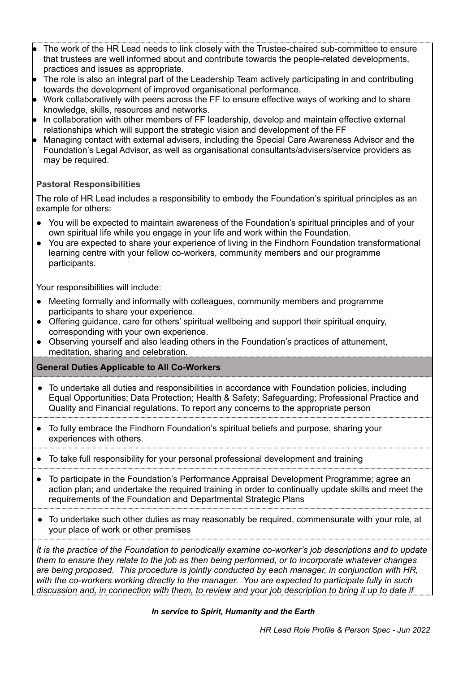- The work of the HR Lead needs to link closely with the Trustee-chaired sub-committee to ensure that trustees are well informed about and contribute towards the people-related developments, practices and issues as appropriate.
- The role is also an integral part of the Leadership Team actively participating in and contributing towards the development of improved organisational performance.
- Work collaboratively with peers across the FF to ensure effective ways of working and to share knowledge, skills, resources and networks.
- In collaboration with other members of FF leadership, develop and maintain effective external relationships which will support the strategic vision and development of the FF
- Managing contact with external advisers, including the Special Care Awareness Advisor and the Foundation's Legal Advisor, as well as organisational consultants/advisers/service providers as may be required.

## **Pastoral Responsibilities**

The role of HR Lead includes a responsibility to embody the Foundation's spiritual principles as an example for others:

- You will be expected to maintain awareness of the Foundation's spiritual principles and of your own spiritual life while you engage in your life and work within the Foundation.
- You are expected to share your experience of living in the Findhorn Foundation transformational learning centre with your fellow co-workers, community members and our programme participants.

Your responsibilities will include:

- Meeting formally and informally with colleagues, community members and programme participants to share your experience.
- Offering guidance, care for others' spiritual wellbeing and support their spiritual enquiry, corresponding with your own experience.
- Observing yourself and also leading others in the Foundation's practices of attunement, meditation, sharing and celebration.

### **General Duties Applicable to All Co-Workers**

- To undertake all duties and responsibilities in accordance with Foundation policies, including Equal Opportunities; Data Protection; Health & Safety; Safeguarding; Professional Practice and Quality and Financial regulations. To report any concerns to the appropriate person
- To fully embrace the Findhorn Foundation's spiritual beliefs and purpose, sharing your experiences with others.
- To take full responsibility for your personal professional development and training
- To participate in the Foundation's Performance Appraisal Development Programme; agree an action plan; and undertake the required training in order to continually update skills and meet the requirements of the Foundation and Departmental Strategic Plans
- To undertake such other duties as may reasonably be required, commensurate with your role, at your place of work or other premises

*It is the practice of the Foundation to periodically examine co-worker's job descriptions and to update them to ensure they relate to the job as then being performed, or to incorporate whatever changes are being proposed. This procedure is jointly conducted by each manager, in conjunction with HR, with the co-workers working directly to the manager. You are expected to participate fully in such* discussion and, in connection with them, to review and your job description to bring it up to date if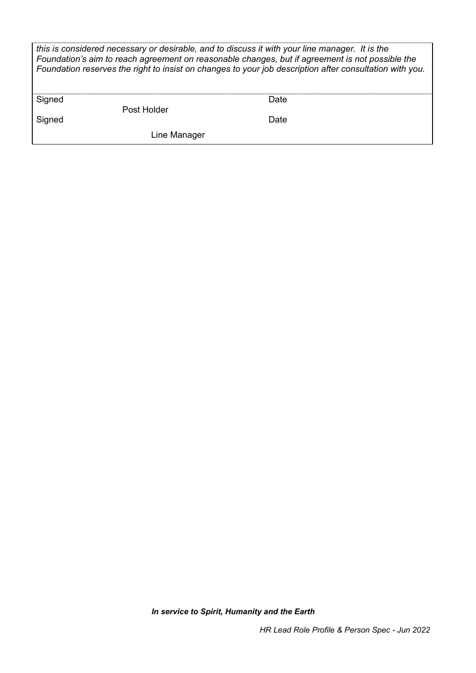| this is considered necessary or desirable, and to discuss it with your line manager. It is the<br>Foundation's aim to reach agreement on reasonable changes, but if agreement is not possible the<br>Foundation reserves the right to insist on changes to your job description after consultation with you. |              |      |  |  |
|--------------------------------------------------------------------------------------------------------------------------------------------------------------------------------------------------------------------------------------------------------------------------------------------------------------|--------------|------|--|--|
| Signed                                                                                                                                                                                                                                                                                                       | Post Holder  | Date |  |  |
| Signed                                                                                                                                                                                                                                                                                                       |              | Date |  |  |
|                                                                                                                                                                                                                                                                                                              | Line Manager |      |  |  |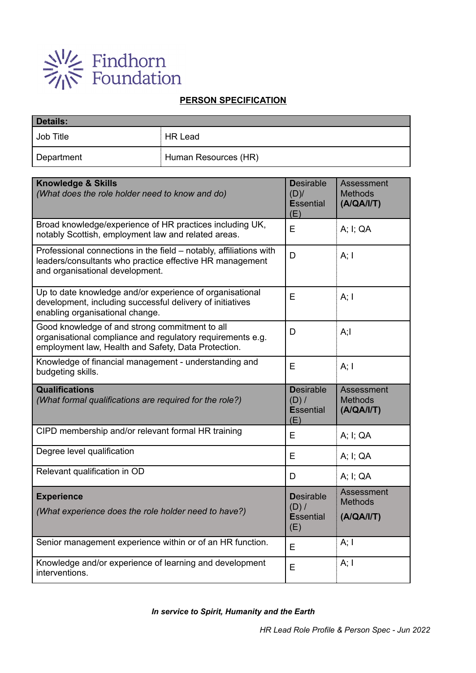

# **PERSON SPECIFICATION**

| Details:   |                      |  |  |  |
|------------|----------------------|--|--|--|
| Job Title  | <b>HR Lead</b>       |  |  |  |
| Department | Human Resources (HR) |  |  |  |

| <b>Knowledge &amp; Skills</b><br>(What does the role holder need to know and do)                                                                                    | <b>Desirable</b><br>$(D)$ /<br><b>Essential</b><br>(E) | <b>Assessment</b><br><b>Methods</b><br>(A/QA/I/T) |
|---------------------------------------------------------------------------------------------------------------------------------------------------------------------|--------------------------------------------------------|---------------------------------------------------|
| Broad knowledge/experience of HR practices including UK,<br>notably Scottish, employment law and related areas.                                                     | E                                                      | A; I; QA                                          |
| Professional connections in the field - notably, affiliations with<br>leaders/consultants who practice effective HR management<br>and organisational development.   | D                                                      | A; I                                              |
| Up to date knowledge and/or experience of organisational<br>development, including successful delivery of initiatives<br>enabling organisational change.            | E                                                      | A; I                                              |
| Good knowledge of and strong commitment to all<br>organisational compliance and regulatory requirements e.g.<br>employment law, Health and Safety, Data Protection. | D                                                      | A;I                                               |
| Knowledge of financial management - understanding and<br>budgeting skills.                                                                                          | E                                                      | A; I                                              |
|                                                                                                                                                                     |                                                        |                                                   |
| <b>Qualifications</b><br>(What formal qualifications are required for the role?)                                                                                    | <b>Desirable</b><br>(D) /<br><b>Essential</b><br>(E)   | <b>Assessment</b><br><b>Methods</b><br>(A/QA/I/T) |
| CIPD membership and/or relevant formal HR training                                                                                                                  | E                                                      | A; I; QA                                          |
| Degree level qualification                                                                                                                                          | E                                                      | A; I; QA                                          |
| Relevant qualification in OD                                                                                                                                        | D                                                      | A; I; QA                                          |
| <b>Experience</b><br>(What experience does the role holder need to have?)                                                                                           | <b>Desirable</b><br>$(D)$ /<br><b>Essential</b><br>(E) | Assessment<br><b>Methods</b><br>(A/QA/I/T)        |
| Senior management experience within or of an HR function.                                                                                                           | E                                                      | A; I                                              |